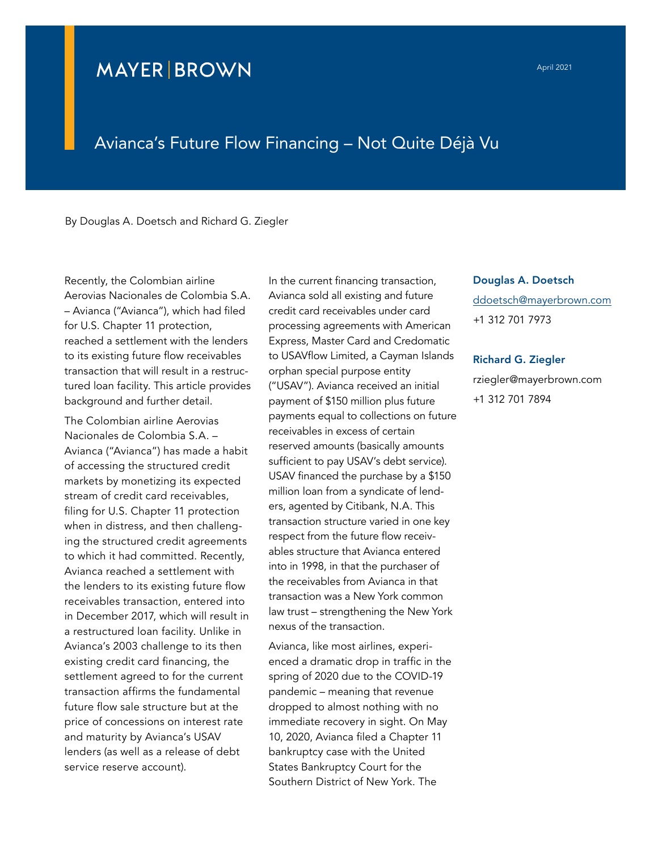## **MAYER BROWN**

## Avianca's Future Flow Financing – Not Quite Déjà Vu

By Douglas A. Doetsch and Richard G. Ziegler

Recently, the Colombian airline Aerovias Nacionales de Colombia S.A. – Avianca ("Avianca"), which had filed for U.S. Chapter 11 protection, reached a settlement with the lenders to its existing future flow receivables transaction that will result in a restructured loan facility. This article provides background and further detail.

The Colombian airline Aerovias Nacionales de Colombia S.A. – Avianca ("Avianca") has made a habit of accessing the structured credit markets by monetizing its expected stream of credit card receivables, filing for U.S. Chapter 11 protection when in distress, and then challenging the structured credit agreements to which it had committed. Recently, Avianca reached a settlement with the lenders to its existing future flow receivables transaction, entered into in December 2017, which will result in a restructured loan facility. Unlike in Avianca's 2003 challenge to its then existing credit card financing, the settlement agreed to for the current transaction affirms the fundamental future flow sale structure but at the price of concessions on interest rate and maturity by Avianca's USAV lenders (as well as a release of debt service reserve account).

In the current financing transaction, Avianca sold all existing and future credit card receivables under card processing agreements with American Express, Master Card and Credomatic to USAVflow Limited, a Cayman Islands orphan special purpose entity ("USAV"). Avianca received an initial payment of \$150 million plus future payments equal to collections on future receivables in excess of certain reserved amounts (basically amounts sufficient to pay USAV's debt service). USAV financed the purchase by a \$150 million loan from a syndicate of lenders, agented by Citibank, N.A. This transaction structure varied in one key respect from the future flow receivables structure that Avianca entered into in 1998, in that the purchaser of the receivables from Avianca in that transaction was a New York common law trust – strengthening the New York nexus of the transaction.

Avianca, like most airlines, experienced a dramatic drop in traffic in the spring of 2020 due to the COVID-19 pandemic – meaning that revenue dropped to almost nothing with no immediate recovery in sight. On May 10, 2020, Avianca filed a Chapter 11 bankruptcy case with the United States Bankruptcy Court for the Southern District of New York. The

Douglas A. Doetsch ddoetsch@mayerbrown.com +1 312 701 7973

Richard G. Ziegler rziegler@mayerbrown.com +1 312 701 7894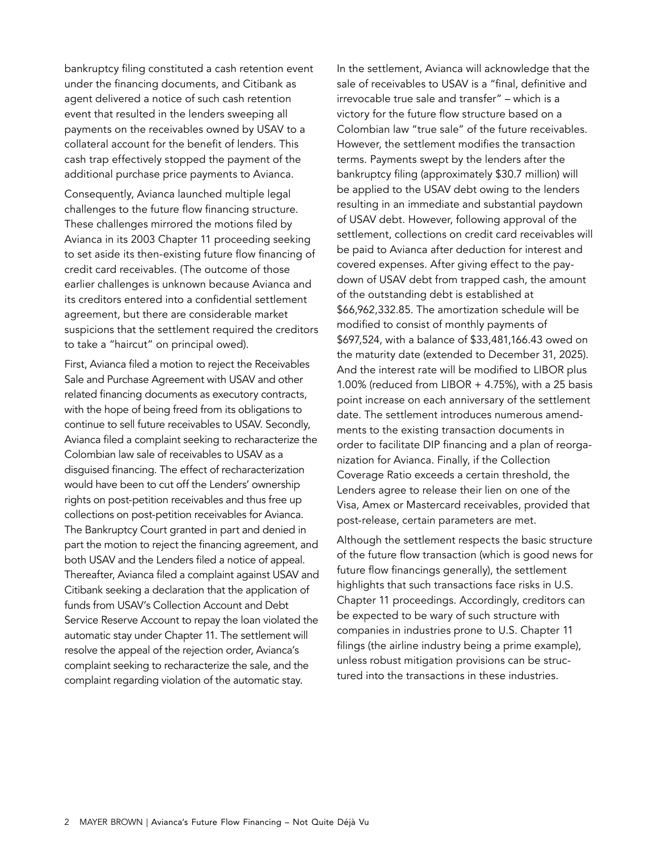bankruptcy filing constituted a cash retention event under the financing documents, and Citibank as agent delivered a notice of such cash retention event that resulted in the lenders sweeping all payments on the receivables owned by USAV to a collateral account for the benefit of lenders. This cash trap effectively stopped the payment of the additional purchase price payments to Avianca.

Consequently, Avianca launched multiple legal challenges to the future flow financing structure. These challenges mirrored the motions filed by Avianca in its 2003 Chapter 11 proceeding seeking to set aside its then-existing future flow financing of credit card receivables. (The outcome of those earlier challenges is unknown because Avianca and its creditors entered into a confidential settlement agreement, but there are considerable market suspicions that the settlement required the creditors to take a "haircut" on principal owed).

First, Avianca filed a motion to reject the Receivables Sale and Purchase Agreement with USAV and other related financing documents as executory contracts, with the hope of being freed from its obligations to continue to sell future receivables to USAV. Secondly, Avianca filed a complaint seeking to recharacterize the Colombian law sale of receivables to USAV as a disguised financing. The effect of recharacterization would have been to cut off the Lenders' ownership rights on post-petition receivables and thus free up collections on post-petition receivables for Avianca. The Bankruptcy Court granted in part and denied in part the motion to reject the financing agreement, and both USAV and the Lenders filed a notice of appeal. Thereafter, Avianca filed a complaint against USAV and Citibank seeking a declaration that the application of funds from USAV's Collection Account and Debt Service Reserve Account to repay the loan violated the automatic stay under Chapter 11. The settlement will resolve the appeal of the rejection order, Avianca's complaint seeking to recharacterize the sale, and the complaint regarding violation of the automatic stay.

In the settlement, Avianca will acknowledge that the sale of receivables to USAV is a "final, definitive and irrevocable true sale and transfer" – which is a victory for the future flow structure based on a Colombian law "true sale" of the future receivables. However, the settlement modifies the transaction terms. Payments swept by the lenders after the bankruptcy filing (approximately \$30.7 million) will be applied to the USAV debt owing to the lenders resulting in an immediate and substantial paydown of USAV debt. However, following approval of the settlement, collections on credit card receivables will be paid to Avianca after deduction for interest and covered expenses. After giving effect to the paydown of USAV debt from trapped cash, the amount of the outstanding debt is established at \$66,962,332.85. The amortization schedule will be modified to consist of monthly payments of \$697,524, with a balance of \$33,481,166.43 owed on the maturity date (extended to December 31, 2025). And the interest rate will be modified to LIBOR plus 1.00% (reduced from LIBOR  $+$  4.75%), with a 25 basis point increase on each anniversary of the settlement date. The settlement introduces numerous amendments to the existing transaction documents in order to facilitate DIP financing and a plan of reorganization for Avianca. Finally, if the Collection Coverage Ratio exceeds a certain threshold, the Lenders agree to release their lien on one of the Visa, Amex or Mastercard receivables, provided that post-release, certain parameters are met.

Although the settlement respects the basic structure of the future flow transaction (which is good news for future flow financings generally), the settlement highlights that such transactions face risks in U.S. Chapter 11 proceedings. Accordingly, creditors can be expected to be wary of such structure with companies in industries prone to U.S. Chapter 11 filings (the airline industry being a prime example), unless robust mitigation provisions can be structured into the transactions in these industries.